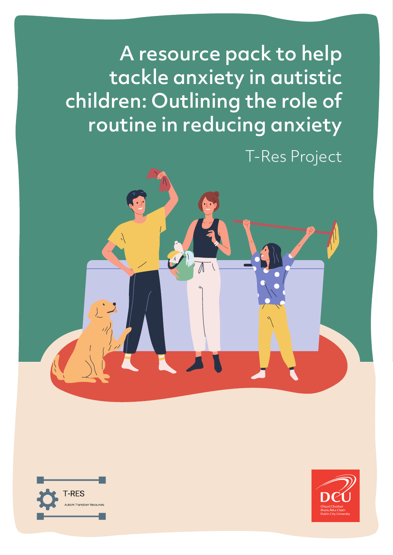A resource pack to help tackle anxiety in autistic children: Outlining the role of routine in reducing anxiety

T-Res Project



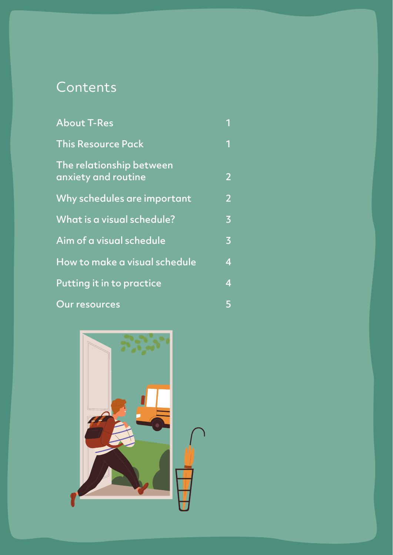# **Contents**

| <b>About T-Res</b>                              | 1                       |
|-------------------------------------------------|-------------------------|
| <b>This Resource Pack</b>                       | 1                       |
| The relationship between<br>anxiety and routine | $\overline{2}$          |
| Why schedules are important                     | $\overline{2}$          |
| What is a visual schedule?                      | $\overline{3}$          |
| Aim of a visual schedule                        | $\overline{\mathbf{3}}$ |
| How to make a visual schedule                   | 4                       |
| Putting it in to practice                       | $\overline{4}$          |
| <b>Our resources</b>                            | 5                       |

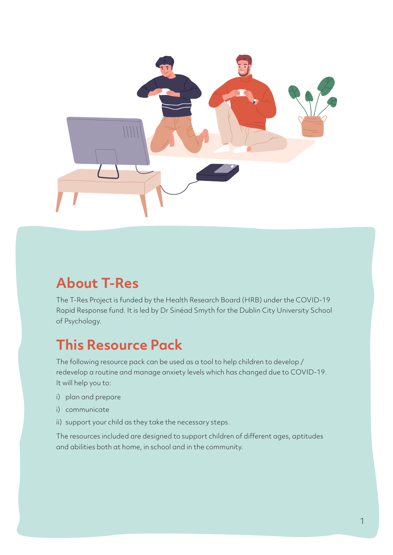

# **About T-Res**

The T-Res Project is funded by the Health Research Board (HRB) under the COVID-19 Rapid Response fund. It is led by Dr Sinéad Smyth for the Dublin City University School of Psychology.

## **This Resource Pack**

The following resource pack can be used as a tool to help children to develop / redevelop a routine and manage anxiety levels which has changed due to COVID-19. It will help you to:

- i) plan and prepare
- i) communicate
- ii) support your child as they take the necessary steps.

The resources included are designed to support children of different ages, aptitudes and abilities both at home, in school and in the community.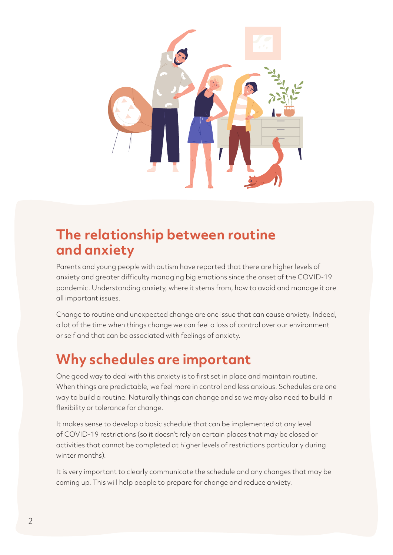

## **The relationship between routine and anxiety**

Parents and young people with autism have reported that there are higher levels of anxiety and greater difficulty managing big emotions since the onset of the COVID-19 pandemic. Understanding anxiety, where it stems from, how to avoid and manage it are all important issues.

Change to routine and unexpected change are one issue that can cause anxiety. Indeed, a lot of the time when things change we can feel a loss of control over our environment or self and that can be associated with feelings of anxiety.

# **Why schedules are important**

One good way to deal with this anxiety is to first set in place and maintain routine. When things are predictable, we feel more in control and less anxious. Schedules are one way to build a routine. Naturally things can change and so we may also need to build in flexibility or tolerance for change.

It makes sense to develop a basic schedule that can be implemented at any level of COVID-19 restrictions (so it doesn't rely on certain places that may be closed or activities that cannot be completed at higher levels of restrictions particularly during winter months).

It is very important to clearly communicate the schedule and any changes that may be coming up. This will help people to prepare for change and reduce anxiety.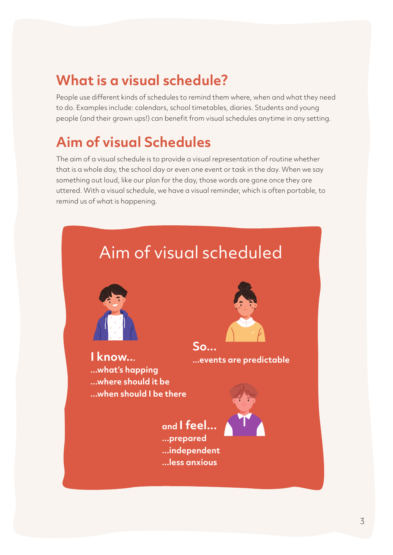## **What is a visual schedule?**

People use different kinds of schedules to remind them where, when and what they need to do. Examples include: calendars, school timetables, diaries. Students and young people (and their grown ups!) can benefit from visual schedules anytime in any setting.

## **Aim of visual Schedules**

The aim of a visual schedule is to provide a visual representation of routine whether that is a whole day, the school day or even one event or task in the day. When we say something out loud, like our plan for the day, those words are gone once they are uttered. With a visual schedule, we have a visual reminder, which is often portable, to remind us of what is happening.

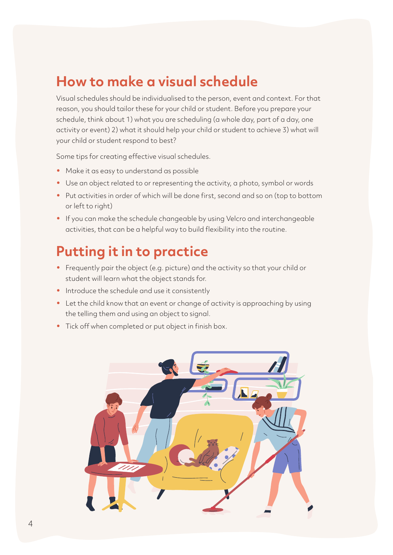#### **How to make a visual schedule**

Visual schedules should be individualised to the person, event and context. For that reason, you should tailor these for your child or student. Before you prepare your schedule, think about 1) what you are scheduling (a whole day, part of a day, one activity or event) 2) what it should help your child or student to achieve 3) what will your child or student respond to best?

Some tips for creating effective visual schedules.

- Make it as easy to understand as possible
- Use an object related to or representing the activity, a photo, symbol or words
- Put activities in order of which will be done first, second and so on (top to bottom or left to right)
- If you can make the schedule changeable by using Velcro and interchangeable activities, that can be a helpful way to build flexibility into the routine.

## **Putting it in to practice**

- Frequently pair the object (e.g. picture) and the activity so that your child or student will learn what the object stands for.
- Introduce the schedule and use it consistently
- Let the child know that an event or change of activity is approaching by using the telling them and using an object to signal.
- Tick off when completed or put object in finish box.

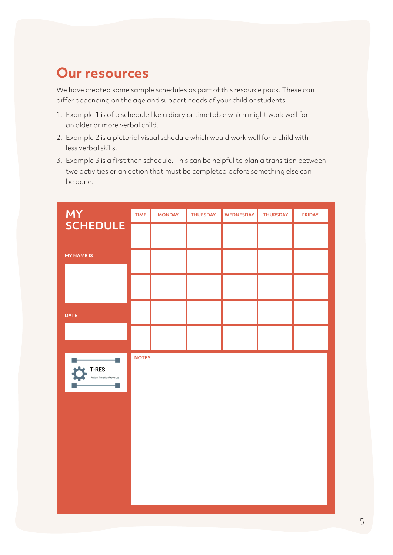#### **Our resources**

**Visual Schedule** We have created some sample schedules as part of this resource pack. These can differ depending on the age and support needs of your child or students.

- 1. Example 1 is of a schedule like a diary or timetable which might work well for an older or more verbal child.
- 2. Example 2 is a pictorial visual schedule which would work well for a child with less verbal skills.
- 3. Example 3 is a first then schedule. This can be helpful to plan a transition between two activities or an action that must be completed before something else can be done.

| <b>MY</b>                                | <b>TIME</b>  | <b>MONDAY</b> | <b>THUESDAY</b> | WEDNESDAY | <b>THURSDAY</b> | <b>FRIDAY</b> |
|------------------------------------------|--------------|---------------|-----------------|-----------|-----------------|---------------|
| <b>SCHEDULE</b>                          |              |               |                 |           |                 |               |
| <b>MY NAME IS</b>                        |              |               |                 |           |                 |               |
|                                          |              |               |                 |           |                 |               |
| <b>DATE</b>                              |              |               |                 |           |                 |               |
|                                          |              |               |                 |           |                 |               |
| ۰<br>T-RES<br>LJ<br>Transition Resources | <b>NOTES</b> |               |                 |           |                 |               |
|                                          |              |               |                 |           |                 |               |
|                                          |              |               |                 |           |                 |               |
|                                          |              |               |                 |           |                 |               |
|                                          |              |               |                 |           |                 |               |
|                                          |              |               |                 |           |                 |               |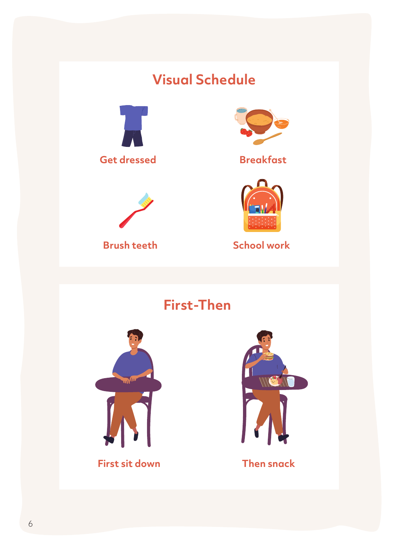# **Visual Schedule**





**Brush teeth**



#### **Breakfast**



**School work**

**First-Then**



**First sit down Then snack**